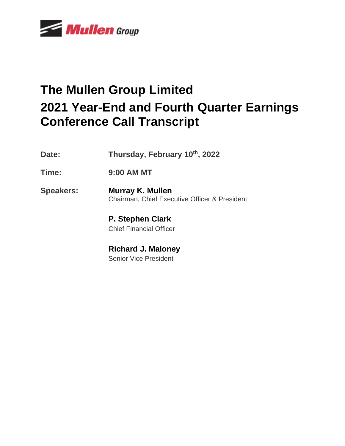

# **The Mullen Group Limited 2021 Year-End and Fourth Quarter Earnings Conference Call Transcript**

- **Date: Thursday, February 10th, 2022**
- **Time: 9:00 AM MT**

**Speakers: Murray K. Mullen** Chairman, Chief Executive Officer & President

> **P. Stephen Clark** Chief Financial Officer

**Richard J. Maloney** Senior Vice President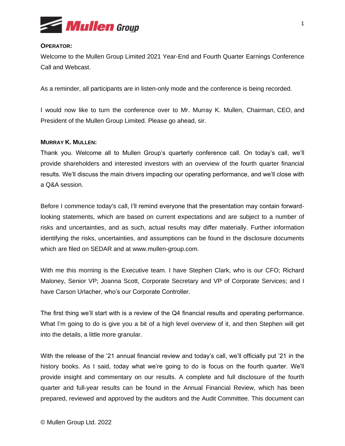

## **OPERATOR:**

Welcome to the Mullen Group Limited 2021 Year-End and Fourth Quarter Earnings Conference Call and Webcast.

As a reminder, all participants are in listen-only mode and the conference is being recorded.

I would now like to turn the conference over to Mr. Murray K. Mullen, Chairman, CEO, and President of the Mullen Group Limited. Please go ahead, sir.

## **MURRAY K. MULLEN:**

Thank you. Welcome all to Mullen Group's quarterly conference call. On today's call, we'll provide shareholders and interested investors with an overview of the fourth quarter financial results. We'll discuss the main drivers impacting our operating performance, and we'll close with a Q&A session.

Before I commence today's call, I'll remind everyone that the presentation may contain forwardlooking statements, which are based on current expectations and are subject to a number of risks and uncertainties, and as such, actual results may differ materially. Further information identifying the risks, uncertainties, and assumptions can be found in the disclosure documents which are filed on SEDAR and at www.mullen-group.com.

With me this morning is the Executive team. I have Stephen Clark, who is our CFO; Richard Maloney, Senior VP; Joanna Scott, Corporate Secretary and VP of Corporate Services; and I have Carson Urlacher, who's our Corporate Controller.

The first thing we'll start with is a review of the Q4 financial results and operating performance. What I'm going to do is give you a bit of a high level overview of it, and then Stephen will get into the details, a little more granular.

With the release of the '21 annual financial review and today's call, we'll officially put '21 in the history books. As I said, today what we're going to do is focus on the fourth quarter. We'll provide insight and commentary on our results. A complete and full disclosure of the fourth quarter and full-year results can be found in the Annual Financial Review, which has been prepared, reviewed and approved by the auditors and the Audit Committee. This document can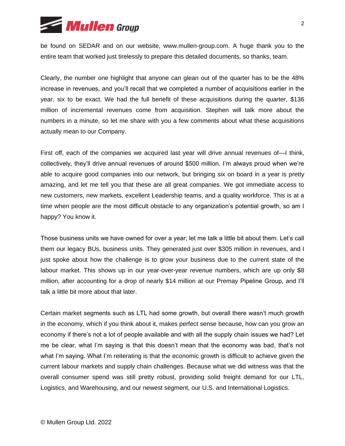

be found on SEDAR and on our website, www.mullen-group.com. A huge thank you to the entire team that worked just tirelessly to prepare this detailed documents, so thanks, team.

Clearly, the number one highlight that anyone can glean out of the quarter has to be the 48% increase in revenues, and you'll recall that we completed a number of acquisitions earlier in the year, six to be exact. We had the full benefit of these acquisitions during the quarter, \$136 million of incremental revenues come from acquisition. Stephen will talk more about the numbers in a minute, so let me share with you a few comments about what these acquisitions actually mean to our Company.

First off, each of the companies we acquired last year will drive annual revenues of—I think, collectively, they'll drive annual revenues of around \$500 million. I'm always proud when we're able to acquire good companies into our network, but bringing six on board in a year is pretty amazing, and let me tell you that these are all great companies. We got immediate access to new customers, new markets, excellent Leadership teams, and a quality workforce. This is at a time when people are the most difficult obstacle to any organization's potential growth, so am I happy? You know it.

Those business units we have owned for over a year; let me talk a little bit about them. Let's call them our legacy BUs, business units. They generated just over \$305 million in revenues, and I just spoke about how the challenge is to grow your business due to the current state of the labour market. This shows up in our year-over-year revenue numbers, which are up only \$8 million, after accounting for a drop of nearly \$14 million at our Premay Pipeline Group, and I'll talk a little bit more about that later.

Certain market segments such as LTL had some growth, but overall there wasn't much growth in the economy, which if you think about it, makes perfect sense because, how can you grow an economy if there's not a lot of people available and with all the supply chain issues we had? Let me be clear, what I'm saying is that this doesn't mean that the economy was bad, that's not what I'm saying. What I'm reiterating is that the economic growth is difficult to achieve given the current labour markets and supply chain challenges. Because what we did witness was that the overall consumer spend was still pretty robust, providing solid freight demand for our LTL, Logistics, and Warehousing, and our newest segment, our U.S. and International Logistics.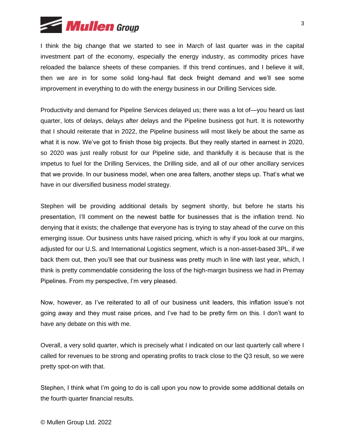

I think the big change that we started to see in March of last quarter was in the capital investment part of the economy, especially the energy industry, as commodity prices have reloaded the balance sheets of these companies. If this trend continues, and I believe it will, then we are in for some solid long-haul flat deck freight demand and we'll see some improvement in everything to do with the energy business in our Drilling Services side.

Productivity and demand for Pipeline Services delayed us; there was a lot of—you heard us last quarter, lots of delays, delays after delays and the Pipeline business got hurt. It is noteworthy that I should reiterate that in 2022, the Pipeline business will most likely be about the same as what it is now. We've got to finish those big projects. But they really started in earnest in 2020, so 2020 was just really robust for our Pipeline side, and thankfully it is because that is the impetus to fuel for the Drilling Services, the Drilling side, and all of our other ancillary services that we provide. In our business model, when one area falters, another steps up. That's what we have in our diversified business model strategy.

Stephen will be providing additional details by segment shortly, but before he starts his presentation, I'll comment on the newest battle for businesses that is the inflation trend. No denying that it exists; the challenge that everyone has is trying to stay ahead of the curve on this emerging issue. Our business units have raised pricing, which is why if you look at our margins, adjusted for our U.S. and International Logistics segment, which is a non-asset-based 3PL, if we back them out, then you'll see that our business was pretty much in line with last year, which, I think is pretty commendable considering the loss of the high-margin business we had in Premay Pipelines. From my perspective, I'm very pleased.

Now, however, as I've reiterated to all of our business unit leaders, this inflation issue's not going away and they must raise prices, and I've had to be pretty firm on this. I don't want to have any debate on this with me.

Overall, a very solid quarter, which is precisely what I indicated on our last quarterly call where I called for revenues to be strong and operating profits to track close to the Q3 result, so we were pretty spot-on with that.

Stephen, I think what I'm going to do is call upon you now to provide some additional details on the fourth quarter financial results.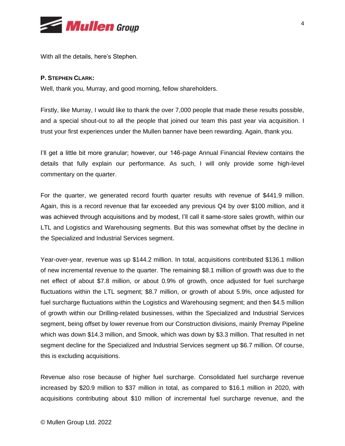

With all the details, here's Stephen.

# **P. STEPHEN CLARK:**

Well, thank you, Murray, and good morning, fellow shareholders.

Firstly, like Murray, I would like to thank the over 7,000 people that made these results possible, and a special shout-out to all the people that joined our team this past year via acquisition. I trust your first experiences under the Mullen banner have been rewarding. Again, thank you.

I'll get a little bit more granular; however, our 146-page Annual Financial Review contains the details that fully explain our performance. As such, I will only provide some high-level commentary on the quarter.

For the quarter, we generated record fourth quarter results with revenue of \$441.9 million. Again, this is a record revenue that far exceeded any previous Q4 by over \$100 million, and it was achieved through acquisitions and by modest, I'll call it same-store sales growth, within our LTL and Logistics and Warehousing segments. But this was somewhat offset by the decline in the Specialized and Industrial Services segment.

Year-over-year, revenue was up \$144.2 million. In total, acquisitions contributed \$136.1 million of new incremental revenue to the quarter. The remaining \$8.1 million of growth was due to the net effect of about \$7.8 million, or about 0.9% of growth, once adjusted for fuel surcharge fluctuations within the LTL segment; \$8.7 million, or growth of about 5.9%, once adjusted for fuel surcharge fluctuations within the Logistics and Warehousing segment; and then \$4.5 million of growth within our Drilling-related businesses, within the Specialized and Industrial Services segment, being offset by lower revenue from our Construction divisions, mainly Premay Pipeline which was down \$14.3 million, and Smook, which was down by \$3.3 million. That resulted in net segment decline for the Specialized and Industrial Services segment up \$6.7 million. Of course, this is excluding acquisitions.

Revenue also rose because of higher fuel surcharge. Consolidated fuel surcharge revenue increased by \$20.9 million to \$37 million in total, as compared to \$16.1 million in 2020, with acquisitions contributing about \$10 million of incremental fuel surcharge revenue, and the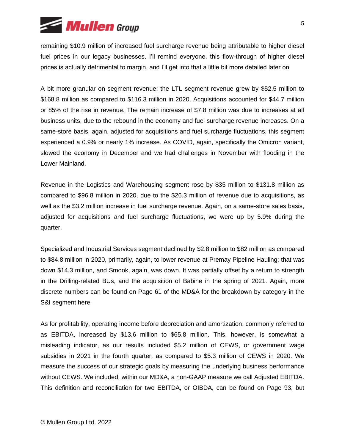

remaining \$10.9 million of increased fuel surcharge revenue being attributable to higher diesel fuel prices in our legacy businesses. I'll remind everyone, this flow-through of higher diesel prices is actually detrimental to margin, and I'll get into that a little bit more detailed later on.

A bit more granular on segment revenue; the LTL segment revenue grew by \$52.5 million to \$168.8 million as compared to \$116.3 million in 2020. Acquisitions accounted for \$44.7 million or 85% of the rise in revenue. The remain increase of \$7.8 million was due to increases at all business units, due to the rebound in the economy and fuel surcharge revenue increases. On a same-store basis, again, adjusted for acquisitions and fuel surcharge fluctuations, this segment experienced a 0.9% or nearly 1% increase. As COVID, again, specifically the Omicron variant, slowed the economy in December and we had challenges in November with flooding in the Lower Mainland.

Revenue in the Logistics and Warehousing segment rose by \$35 million to \$131.8 million as compared to \$96.8 million in 2020, due to the \$26.3 million of revenue due to acquisitions, as well as the \$3.2 million increase in fuel surcharge revenue. Again, on a same-store sales basis, adjusted for acquisitions and fuel surcharge fluctuations, we were up by 5.9% during the quarter.

Specialized and Industrial Services segment declined by \$2.8 million to \$82 million as compared to \$84.8 million in 2020, primarily, again, to lower revenue at Premay Pipeline Hauling; that was down \$14.3 million, and Smook, again, was down. It was partially offset by a return to strength in the Drilling-related BUs, and the acquisition of Babine in the spring of 2021. Again, more discrete numbers can be found on Page 61 of the MD&A for the breakdown by category in the S&I segment here.

As for profitability, operating income before depreciation and amortization, commonly referred to as EBITDA, increased by \$13.6 million to \$65.8 million. This, however, is somewhat a misleading indicator, as our results included \$5.2 million of CEWS, or government wage subsidies in 2021 in the fourth quarter, as compared to \$5.3 million of CEWS in 2020. We measure the success of our strategic goals by measuring the underlying business performance without CEWS. We included, within our MD&A, a non-GAAP measure we call Adjusted EBITDA. This definition and reconciliation for two EBITDA, or OIBDA, can be found on Page 93, but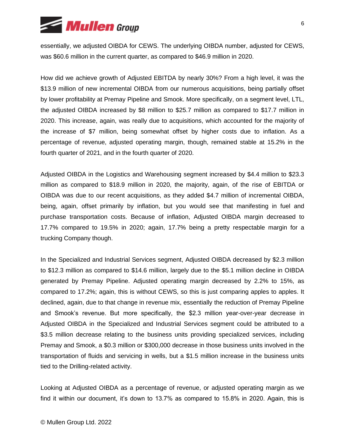

essentially, we adjusted OIBDA for CEWS. The underlying OIBDA number, adjusted for CEWS, was \$60.6 million in the current quarter, as compared to \$46.9 million in 2020.

How did we achieve growth of Adjusted EBITDA by nearly 30%? From a high level, it was the \$13.9 million of new incremental OIBDA from our numerous acquisitions, being partially offset by lower profitability at Premay Pipeline and Smook. More specifically, on a segment level, LTL, the adjusted OIBDA increased by \$8 million to \$25.7 million as compared to \$17.7 million in 2020. This increase, again, was really due to acquisitions, which accounted for the majority of the increase of \$7 million, being somewhat offset by higher costs due to inflation. As a percentage of revenue, adjusted operating margin, though, remained stable at 15.2% in the fourth quarter of 2021, and in the fourth quarter of 2020.

Adjusted OIBDA in the Logistics and Warehousing segment increased by \$4.4 million to \$23.3 million as compared to \$18.9 million in 2020, the majority, again, of the rise of EBITDA or OIBDA was due to our recent acquisitions, as they added \$4.7 million of incremental OIBDA, being, again, offset primarily by inflation, but you would see that manifesting in fuel and purchase transportation costs. Because of inflation, Adjusted OIBDA margin decreased to 17.7% compared to 19.5% in 2020; again, 17.7% being a pretty respectable margin for a trucking Company though.

In the Specialized and Industrial Services segment, Adjusted OIBDA decreased by \$2.3 million to \$12.3 million as compared to \$14.6 million, largely due to the \$5.1 million decline in OIBDA generated by Premay Pipeline. Adjusted operating margin decreased by 2.2% to 15%, as compared to 17.2%; again, this is without CEWS, so this is just comparing apples to apples. It declined, again, due to that change in revenue mix, essentially the reduction of Premay Pipeline and Smook's revenue. But more specifically, the \$2.3 million year-over-year decrease in Adjusted OIBDA in the Specialized and Industrial Services segment could be attributed to a \$3.5 million decrease relating to the business units providing specialized services, including Premay and Smook, a \$0.3 million or \$300,000 decrease in those business units involved in the transportation of fluids and servicing in wells, but a \$1.5 million increase in the business units tied to the Drilling-related activity.

Looking at Adjusted OIBDA as a percentage of revenue, or adjusted operating margin as we find it within our document, it's down to 13.7% as compared to 15.8% in 2020. Again, this is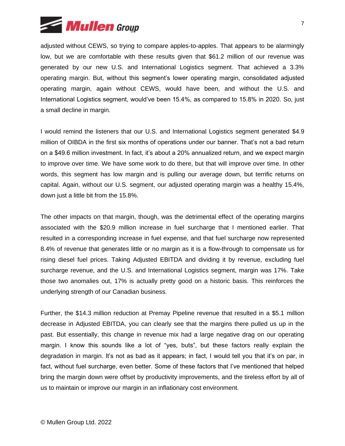

adjusted without CEWS, so trying to compare apples-to-apples. That appears to be alarmingly low, but we are comfortable with these results given that \$61.2 million of our revenue was generated by our new U.S. and International Logistics segment. That achieved a 3.3% operating margin. But, without this segment's lower operating margin, consolidated adjusted operating margin, again without CEWS, would have been, and without the U.S. and International Logistics segment, would've been 15.4%, as compared to 15.8% in 2020. So, just a small decline in margin.

I would remind the listeners that our U.S. and International Logistics segment generated \$4.9 million of OIBDA in the first six months of operations under our banner. That's not a bad return on a \$49.6 million investment. In fact, it's about a 20% annualized return, and we expect margin to improve over time. We have some work to do there, but that will improve over time. In other words, this segment has low margin and is pulling our average down, but terrific returns on capital. Again, without our U.S. segment, our adjusted operating margin was a healthy 15.4%, down just a little bit from the 15.8%.

The other impacts on that margin, though, was the detrimental effect of the operating margins associated with the \$20.9 million increase in fuel surcharge that I mentioned earlier. That resulted in a corresponding increase in fuel expense, and that fuel surcharge now represented 8.4% of revenue that generates little or no margin as it is a flow-through to compensate us for rising diesel fuel prices. Taking Adjusted EBITDA and dividing it by revenue, excluding fuel surcharge revenue, and the U.S. and International Logistics segment, margin was 17%. Take those two anomalies out, 17% is actually pretty good on a historic basis. This reinforces the underlying strength of our Canadian business.

Further, the \$14.3 million reduction at Premay Pipeline revenue that resulted in a \$5.1 million decrease in Adjusted EBITDA, you can clearly see that the margins there pulled us up in the past. But essentially, this change in revenue mix had a large negative drag on our operating margin. I know this sounds like a lot of "yes, buts", but these factors really explain the degradation in margin. It's not as bad as it appears; in fact, I would tell you that it's on par, in fact, without fuel surcharge, even better. Some of these factors that I've mentioned that helped bring the margin down were offset by productivity improvements, and the tireless effort by all of us to maintain or improve our margin in an inflationary cost environment.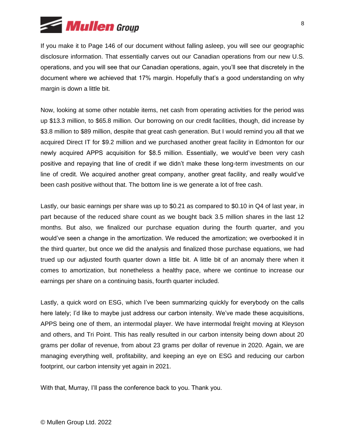

If you make it to Page 146 of our document without falling asleep, you will see our geographic disclosure information. That essentially carves out our Canadian operations from our new U.S. operations, and you will see that our Canadian operations, again, you'll see that discretely in the document where we achieved that 17% margin. Hopefully that's a good understanding on why margin is down a little bit.

Now, looking at some other notable items, net cash from operating activities for the period was up \$13.3 million, to \$65.8 million. Our borrowing on our credit facilities, though, did increase by \$3.8 million to \$89 million, despite that great cash generation. But I would remind you all that we acquired Direct IT for \$9.2 million and we purchased another great facility in Edmonton for our newly acquired APPS acquisition for \$8.5 million. Essentially, we would've been very cash positive and repaying that line of credit if we didn't make these long-term investments on our line of credit. We acquired another great company, another great facility, and really would've been cash positive without that. The bottom line is we generate a lot of free cash.

Lastly, our basic earnings per share was up to \$0.21 as compared to \$0.10 in Q4 of last year, in part because of the reduced share count as we bought back 3.5 million shares in the last 12 months. But also, we finalized our purchase equation during the fourth quarter, and you would've seen a change in the amortization. We reduced the amortization; we overbooked it in the third quarter, but once we did the analysis and finalized those purchase equations, we had trued up our adjusted fourth quarter down a little bit. A little bit of an anomaly there when it comes to amortization, but nonetheless a healthy pace, where we continue to increase our earnings per share on a continuing basis, fourth quarter included.

Lastly, a quick word on ESG, which I've been summarizing quickly for everybody on the calls here lately; I'd like to maybe just address our carbon intensity. We've made these acquisitions, APPS being one of them, an intermodal player. We have intermodal freight moving at Kleyson and others, and Tri Point. This has really resulted in our carbon intensity being down about 20 grams per dollar of revenue, from about 23 grams per dollar of revenue in 2020. Again, we are managing everything well, profitability, and keeping an eye on ESG and reducing our carbon footprint, our carbon intensity yet again in 2021.

With that, Murray, I'll pass the conference back to you. Thank you.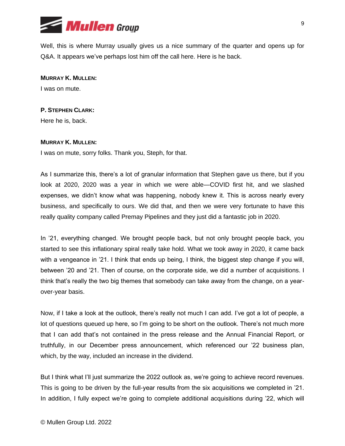

Well, this is where Murray usually gives us a nice summary of the quarter and opens up for Q&A. It appears we've perhaps lost him off the call here. Here is he back.

**MURRAY K. MULLEN:** I was on mute.

## **P. STEPHEN CLARK:**

Here he is, back.

#### **MURRAY K. MULLEN:**

I was on mute, sorry folks. Thank you, Steph, for that.

As I summarize this, there's a lot of granular information that Stephen gave us there, but if you look at 2020, 2020 was a year in which we were able—COVID first hit, and we slashed expenses, we didn't know what was happening, nobody knew it. This is across nearly every business, and specifically to ours. We did that, and then we were very fortunate to have this really quality company called Premay Pipelines and they just did a fantastic job in 2020.

In '21, everything changed. We brought people back, but not only brought people back, you started to see this inflationary spiral really take hold. What we took away in 2020, it came back with a vengeance in '21. I think that ends up being, I think, the biggest step change if you will, between '20 and '21. Then of course, on the corporate side, we did a number of acquisitions. I think that's really the two big themes that somebody can take away from the change, on a yearover-year basis.

Now, if I take a look at the outlook, there's really not much I can add. I've got a lot of people, a lot of questions queued up here, so I'm going to be short on the outlook. There's not much more that I can add that's not contained in the press release and the Annual Financial Report, or truthfully, in our December press announcement, which referenced our '22 business plan, which, by the way, included an increase in the dividend.

But I think what I'll just summarize the 2022 outlook as, we're going to achieve record revenues. This is going to be driven by the full-year results from the six acquisitions we completed in '21. In addition, I fully expect we're going to complete additional acquisitions during '22, which will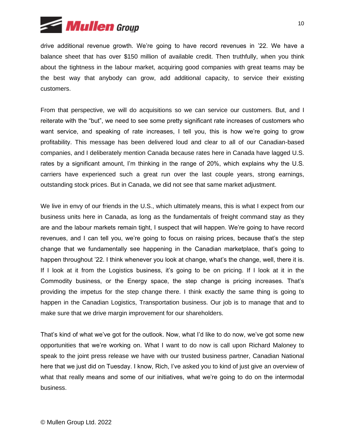

drive additional revenue growth. We're going to have record revenues in '22. We have a balance sheet that has over \$150 million of available credit. Then truthfully, when you think about the tightness in the labour market, acquiring good companies with great teams may be the best way that anybody can grow, add additional capacity, to service their existing customers.

From that perspective, we will do acquisitions so we can service our customers. But, and I reiterate with the "but", we need to see some pretty significant rate increases of customers who want service, and speaking of rate increases, I tell you, this is how we're going to grow profitability. This message has been delivered loud and clear to all of our Canadian-based companies, and I deliberately mention Canada because rates here in Canada have lagged U.S. rates by a significant amount, I'm thinking in the range of 20%, which explains why the U.S. carriers have experienced such a great run over the last couple years, strong earnings, outstanding stock prices. But in Canada, we did not see that same market adjustment.

We live in envy of our friends in the U.S., which ultimately means, this is what I expect from our business units here in Canada, as long as the fundamentals of freight command stay as they are and the labour markets remain tight, I suspect that will happen. We're going to have record revenues, and I can tell you, we're going to focus on raising prices, because that's the step change that we fundamentally see happening in the Canadian marketplace, that's going to happen throughout '22. I think whenever you look at change, what's the change, well, there it is. If I look at it from the Logistics business, it's going to be on pricing. If I look at it in the Commodity business, or the Energy space, the step change is pricing increases. That's providing the impetus for the step change there. I think exactly the same thing is going to happen in the Canadian Logistics, Transportation business. Our job is to manage that and to make sure that we drive margin improvement for our shareholders.

That's kind of what we've got for the outlook. Now, what I'd like to do now, we've got some new opportunities that we're working on. What I want to do now is call upon Richard Maloney to speak to the joint press release we have with our trusted business partner, Canadian National here that we just did on Tuesday. I know, Rich, I've asked you to kind of just give an overview of what that really means and some of our initiatives, what we're going to do on the intermodal business.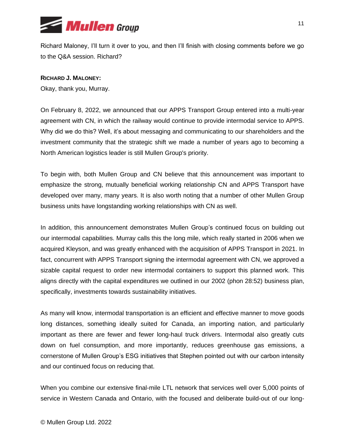

Richard Maloney, I'll turn it over to you, and then I'll finish with closing comments before we go to the Q&A session. Richard?

## **RICHARD J. MALONEY:**

Okay, thank you, Murray.

On February 8, 2022, we announced that our APPS Transport Group entered into a multi-year agreement with CN, in which the railway would continue to provide intermodal service to APPS. Why did we do this? Well, it's about messaging and communicating to our shareholders and the investment community that the strategic shift we made a number of years ago to becoming a North American logistics leader is still Mullen Group's priority.

To begin with, both Mullen Group and CN believe that this announcement was important to emphasize the strong, mutually beneficial working relationship CN and APPS Transport have developed over many, many years. It is also worth noting that a number of other Mullen Group business units have longstanding working relationships with CN as well.

In addition, this announcement demonstrates Mullen Group's continued focus on building out our intermodal capabilities. Murray calls this the long mile, which really started in 2006 when we acquired Kleyson, and was greatly enhanced with the acquisition of APPS Transport in 2021. In fact, concurrent with APPS Transport signing the intermodal agreement with CN, we approved a sizable capital request to order new intermodal containers to support this planned work. This aligns directly with the capital expenditures we outlined in our 2002 (phon 28:52) business plan, specifically, investments towards sustainability initiatives.

As many will know, intermodal transportation is an efficient and effective manner to move goods long distances, something ideally suited for Canada, an importing nation, and particularly important as there are fewer and fewer long-haul truck drivers. Intermodal also greatly cuts down on fuel consumption, and more importantly, reduces greenhouse gas emissions, a cornerstone of Mullen Group's ESG initiatives that Stephen pointed out with our carbon intensity and our continued focus on reducing that.

When you combine our extensive final-mile LTL network that services well over 5,000 points of service in Western Canada and Ontario, with the focused and deliberate build-out of our long-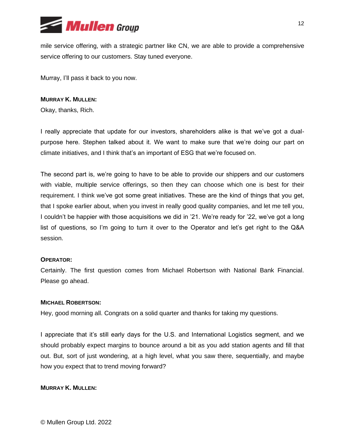

mile service offering, with a strategic partner like CN, we are able to provide a comprehensive service offering to our customers. Stay tuned everyone.

Murray, I'll pass it back to you now.

# **MURRAY K. MULLEN:**

Okay, thanks, Rich.

I really appreciate that update for our investors, shareholders alike is that we've got a dualpurpose here. Stephen talked about it. We want to make sure that we're doing our part on climate initiatives, and I think that's an important of ESG that we're focused on.

The second part is, we're going to have to be able to provide our shippers and our customers with viable, multiple service offerings, so then they can choose which one is best for their requirement. I think we've got some great initiatives. These are the kind of things that you get, that I spoke earlier about, when you invest in really good quality companies, and let me tell you, I couldn't be happier with those acquisitions we did in '21. We're ready for '22, we've got a long list of questions, so I'm going to turn it over to the Operator and let's get right to the Q&A session.

## **OPERATOR:**

Certainly. The first question comes from Michael Robertson with National Bank Financial. Please go ahead.

## **MICHAEL ROBERTSON:**

Hey, good morning all. Congrats on a solid quarter and thanks for taking my questions.

I appreciate that it's still early days for the U.S. and International Logistics segment, and we should probably expect margins to bounce around a bit as you add station agents and fill that out. But, sort of just wondering, at a high level, what you saw there, sequentially, and maybe how you expect that to trend moving forward?

# **MURRAY K. MULLEN:**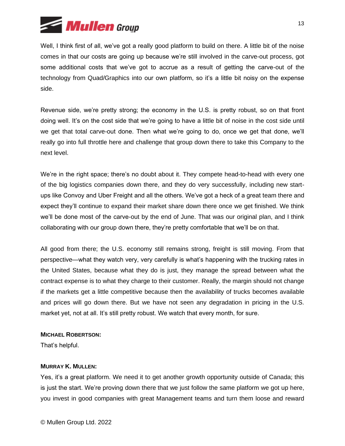

Well, I think first of all, we've got a really good platform to build on there. A little bit of the noise comes in that our costs are going up because we're still involved in the carve-out process, got some additional costs that we've got to accrue as a result of getting the carve-out of the technology from Quad/Graphics into our own platform, so it's a little bit noisy on the expense side.

Revenue side, we're pretty strong; the economy in the U.S. is pretty robust, so on that front doing well. It's on the cost side that we're going to have a little bit of noise in the cost side until we get that total carve-out done. Then what we're going to do, once we get that done, we'll really go into full throttle here and challenge that group down there to take this Company to the next level.

We're in the right space; there's no doubt about it. They compete head-to-head with every one of the big logistics companies down there, and they do very successfully, including new startups like Convoy and Uber Freight and all the others. We've got a heck of a great team there and expect they'll continue to expand their market share down there once we get finished. We think we'll be done most of the carve-out by the end of June. That was our original plan, and I think collaborating with our group down there, they're pretty comfortable that we'll be on that.

All good from there; the U.S. economy still remains strong, freight is still moving. From that perspective—what they watch very, very carefully is what's happening with the trucking rates in the United States, because what they do is just, they manage the spread between what the contract expense is to what they charge to their customer. Really, the margin should not change if the markets get a little competitive because then the availability of trucks becomes available and prices will go down there. But we have not seen any degradation in pricing in the U.S. market yet, not at all. It's still pretty robust. We watch that every month, for sure.

## **MICHAEL ROBERTSON:**

That's helpful.

## **MURRAY K. MULLEN:**

Yes, it's a great platform. We need it to get another growth opportunity outside of Canada; this is just the start. We're proving down there that we just follow the same platform we got up here, you invest in good companies with great Management teams and turn them loose and reward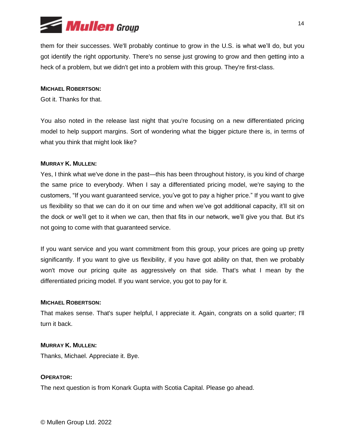

them for their successes. We'll probably continue to grow in the U.S. is what we'll do, but you got identify the right opportunity. There's no sense just growing to grow and then getting into a heck of a problem, but we didn't get into a problem with this group. They're first-class.

## **MICHAEL ROBERTSON:**

Got it. Thanks for that.

You also noted in the release last night that you're focusing on a new differentiated pricing model to help support margins. Sort of wondering what the bigger picture there is, in terms of what you think that might look like?

#### **MURRAY K. MULLEN:**

Yes, I think what we've done in the past—this has been throughout history, is you kind of charge the same price to everybody. When I say a differentiated pricing model, we're saying to the customers, "If you want guaranteed service, you've got to pay a higher price." If you want to give us flexibility so that we can do it on our time and when we've got additional capacity, it'll sit on the dock or we'll get to it when we can, then that fits in our network, we'll give you that. But it's not going to come with that guaranteed service.

If you want service and you want commitment from this group, your prices are going up pretty significantly. If you want to give us flexibility, if you have got ability on that, then we probably won't move our pricing quite as aggressively on that side. That's what I mean by the differentiated pricing model. If you want service, you got to pay for it.

#### **MICHAEL ROBERTSON:**

That makes sense. That's super helpful, I appreciate it. Again, congrats on a solid quarter; I'll turn it back.

#### **MURRAY K. MULLEN:**

Thanks, Michael. Appreciate it. Bye.

#### **OPERATOR:**

The next question is from Konark Gupta with Scotia Capital. Please go ahead.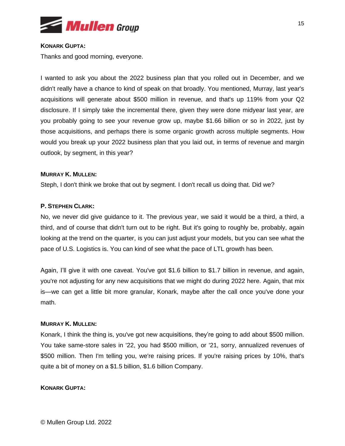

#### **KONARK GUPTA:**

Thanks and good morning, everyone.

I wanted to ask you about the 2022 business plan that you rolled out in December, and we didn't really have a chance to kind of speak on that broadly. You mentioned, Murray, last year's acquisitions will generate about \$500 million in revenue, and that's up 119% from your Q2 disclosure. If I simply take the incremental there, given they were done midyear last year, are you probably going to see your revenue grow up, maybe \$1.66 billion or so in 2022, just by those acquisitions, and perhaps there is some organic growth across multiple segments. How would you break up your 2022 business plan that you laid out, in terms of revenue and margin outlook, by segment, in this year?

# **MURRAY K. MULLEN:**

Steph, I don't think we broke that out by segment. I don't recall us doing that. Did we?

# **P. STEPHEN CLARK:**

No, we never did give guidance to it. The previous year, we said it would be a third, a third, a third, and of course that didn't turn out to be right. But it's going to roughly be, probably, again looking at the trend on the quarter, is you can just adjust your models, but you can see what the pace of U.S. Logistics is. You can kind of see what the pace of LTL growth has been.

Again, I'll give it with one caveat. You've got \$1.6 billion to \$1.7 billion in revenue, and again, you're not adjusting for any new acquisitions that we might do during 2022 here. Again, that mix is—we can get a little bit more granular, Konark, maybe after the call once you've done your math.

## **MURRAY K. MULLEN:**

Konark, I think the thing is, you've got new acquisitions, they're going to add about \$500 million. You take same-store sales in '22, you had \$500 million, or '21, sorry, annualized revenues of \$500 million. Then I'm telling you, we're raising prices. If you're raising prices by 10%, that's quite a bit of money on a \$1.5 billion, \$1.6 billion Company.

## **KONARK GUPTA:**

© Mullen Group Ltd. 2022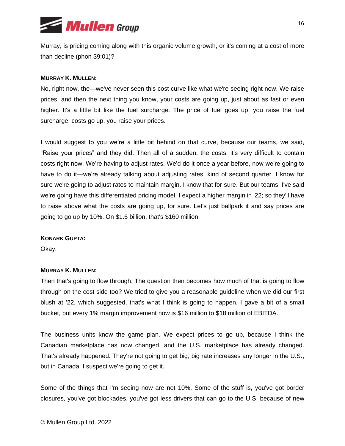

Murray, is pricing coming along with this organic volume growth, or it's coming at a cost of more than decline (phon 39:01)?

## **MURRAY K. MULLEN:**

No, right now, the—we've never seen this cost curve like what we're seeing right now. We raise prices, and then the next thing you know, your costs are going up, just about as fast or even higher. It's a little bit like the fuel surcharge. The price of fuel goes up, you raise the fuel surcharge; costs go up, you raise your prices.

I would suggest to you we're a little bit behind on that curve, because our teams, we said, "Raise your prices" and they did. Then all of a sudden, the costs, it's very difficult to contain costs right now. We're having to adjust rates. We'd do it once a year before, now we're going to have to do it—we're already talking about adjusting rates, kind of second quarter. I know for sure we're going to adjust rates to maintain margin. I know that for sure. But our teams, I've said we're going have this differentiated pricing model, I expect a higher margin in '22; so they'll have to raise above what the costs are going up, for sure. Let's just ballpark it and say prices are going to go up by 10%. On \$1.6 billion, that's \$160 million.

#### **KONARK GUPTA:**

Okay.

#### **MURRAY K. MULLEN:**

Then that's going to flow through. The question then becomes how much of that is going to flow through on the cost side too? We tried to give you a reasonable guideline when we did our first blush at '22, which suggested, that's what I think is going to happen. I gave a bit of a small bucket, but every 1% margin improvement now is \$16 million to \$18 million of EBITDA.

The business units know the game plan. We expect prices to go up, because I think the Canadian marketplace has now changed, and the U.S. marketplace has already changed. That's already happened. They're not going to get big, big rate increases any longer in the U.S., but in Canada, I suspect we're going to get it.

Some of the things that I'm seeing now are not 10%. Some of the stuff is, you've got border closures, you've got blockades, you've got less drivers that can go to the U.S. because of new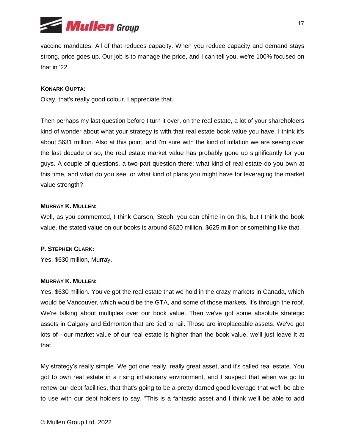

vaccine mandates. All of that reduces capacity. When you reduce capacity and demand stays strong, price goes up. Our job is to manage the price, and I can tell you, we're 100% focused on that in '22.

## **KONARK GUPTA:**

Okay, that's really good colour. I appreciate that.

Then perhaps my last question before I turn it over, on the real estate, a lot of your shareholders kind of wonder about what your strategy is with that real estate book value you have. I think it's about \$631 million. Also at this point, and I'm sure with the kind of inflation we are seeing over the last decade or so, the real estate market value has probably gone up significantly for you guys. A couple of questions, a two-part question there; what kind of real estate do you own at this time, and what do you see, or what kind of plans you might have for leveraging the market value strength?

## **MURRAY K. MULLEN:**

Well, as you commented, I think Carson, Steph, you can chime in on this, but I think the book value, the stated value on our books is around \$620 million, \$625 million or something like that.

## **P. STEPHEN CLARK:**

Yes, \$630 million, Murray.

## **MURRAY K. MULLEN:**

Yes, \$630 million. You've got the real estate that we hold in the crazy markets in Canada, which would be Vancouver, which would be the GTA, and some of those markets, it's through the roof. We're talking about multiples over our book value. Then we've got some absolute strategic assets in Calgary and Edmonton that are tied to rail. Those are irreplaceable assets. We've got lots of—our market value of our real estate is higher than the book value, we'll just leave it at that.

My strategy's really simple. We got one really, really great asset, and it's called real estate. You got to own real estate in a rising inflationary environment, and I suspect that when we go to renew our debt facilities, that that's going to be a pretty darned good leverage that we'll be able to use with our debt holders to say, "This is a fantastic asset and I think we'll be able to add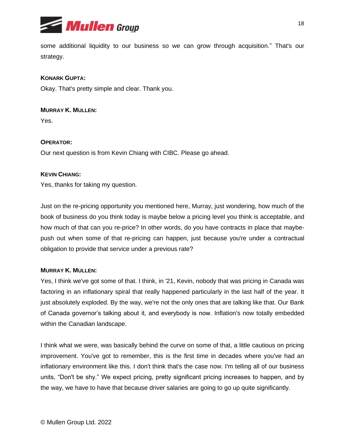

some additional liquidity to our business so we can grow through acquisition." That's our strategy.

# **KONARK GUPTA:**

Okay. That's pretty simple and clear. Thank you.

# **MURRAY K. MULLEN:**

Yes.

# **OPERATOR:**

Our next question is from Kevin Chiang with CIBC. Please go ahead.

# **KEVIN CHIANG:**

Yes, thanks for taking my question.

Just on the re-pricing opportunity you mentioned here, Murray, just wondering, how much of the book of business do you think today is maybe below a pricing level you think is acceptable, and how much of that can you re-price? In other words, do you have contracts in place that maybepush out when some of that re-pricing can happen, just because you're under a contractual obligation to provide that service under a previous rate?

## **MURRAY K. MULLEN:**

Yes, I think we've got some of that. I think, in '21, Kevin, nobody that was pricing in Canada was factoring in an inflationary spiral that really happened particularly in the last half of the year. It just absolutely exploded. By the way, we're not the only ones that are talking like that. Our Bank of Canada governor's talking about it, and everybody is now. Inflation's now totally embedded within the Canadian landscape.

I think what we were, was basically behind the curve on some of that, a little cautious on pricing improvement. You've got to remember, this is the first time in decades where you've had an inflationary environment like this. I don't think that's the case now. I'm telling all of our business units, "Don't be shy." We expect pricing, pretty significant pricing increases to happen, and by the way, we have to have that because driver salaries are going to go up quite significantly.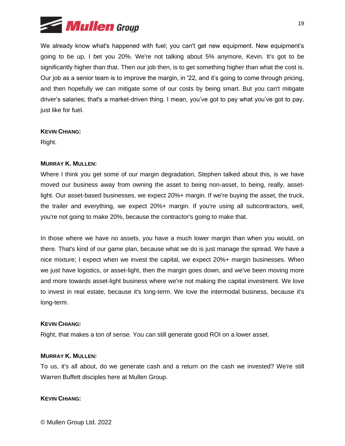

We already know what's happened with fuel; you can't get new equipment. New equipment's going to be up, I bet you 20%. We're not talking about 5% anymore, Kevin. It's got to be significantly higher than that. Then our job then, is to get something higher than what the cost is. Our job as a senior team is to improve the margin, in '22, and it's going to come through pricing, and then hopefully we can mitigate some of our costs by being smart. But you can't mitigate driver's salaries; that's a market-driven thing. I mean, you've got to pay what you've got to pay, just like for fuel.

#### **KEVIN CHIANG:**

Right.

## **MURRAY K. MULLEN:**

Where I think you get some of our margin degradation, Stephen talked about this, is we have moved our business away from owning the asset to being non-asset, to being, really, assetlight. Our asset-based businesses, we expect 20%+ margin. If we're buying the asset, the truck, the trailer and everything, we expect 20%+ margin. If you're using all subcontractors, well, you're not going to make 20%, because the contractor's going to make that.

In those where we have no assets, you have a much lower margin than when you would, on there. That's kind of our game plan, because what we do is just manage the spread. We have a nice mixture; I expect when we invest the capital, we expect 20%+ margin businesses. When we just have logistics, or asset-light, then the margin goes down, and we've been moving more and more towards asset-light business where we're not making the capital investment. We love to invest in real estate, because it's long-term. We love the intermodal business, because it's long-term.

## **KEVIN CHIANG:**

Right, that makes a ton of sense. You can still generate good ROI on a lower asset.

#### **MURRAY K. MULLEN:**

To us, it's all about, do we generate cash and a return on the cash we invested? We're still Warren Buffett disciples here at Mullen Group.

#### **KEVIN CHIANG:**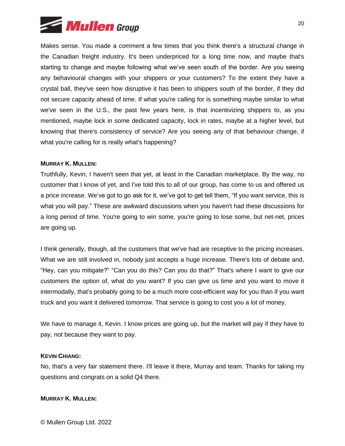

Makes sense. You made a comment a few times that you think there's a structural change in the Canadian freight industry. It's been underpriced for a long time now, and maybe that's starting to change and maybe following what we've seen south of the border. Are you seeing any behavioural changes with your shippers or your customers? To the extent they have a crystal ball, they've seen how disruptive it has been to shippers south of the border, if they did not secure capacity ahead of time. If what you're calling for is something maybe similar to what we've seen in the U.S., the past few years here, is that incentivizing shippers to, as you mentioned, maybe lock in some dedicated capacity, lock in rates, maybe at a higher level, but knowing that there's consistency of service? Are you seeing any of that behaviour change, if what you're calling for is really what's happening?

#### **MURRAY K. MULLEN:**

Truthfully, Kevin, I haven't seen that yet, at least in the Canadian marketplace. By the way, no customer that I know of yet, and I've told this to all of our group, has come to us and offered us a price increase. We've got to go ask for it, we've got to get tell them, "If you want service, this is what you will pay." These are awkward discussions when you haven't had these discussions for a long period of time. You're going to win some, you're going to lose some, but net-net, prices are going up.

I think generally, though, all the customers that we've had are receptive to the pricing increases. What we are still involved in, nobody just accepts a huge increase. There's lots of debate and, "Hey, can you mitigate?" "Can you do this? Can you do that?" That's where I want to give our customers the option of, what do you want? If you can give us time and you want to move it intermodally, that's probably going to be a much more cost-efficient way for you than if you want truck and you want it delivered tomorrow. That service is going to cost you a lot of money.

We have to manage it, Kevin. I know prices are going up, but the market will pay if they have to pay, not because they want to pay.

#### **KEVIN CHIANG:**

No, that's a very fair statement there. I'll leave it there, Murray and team. Thanks for taking my questions and congrats on a solid Q4 there.

#### **MURRAY K. MULLEN:**

© Mullen Group Ltd. 2022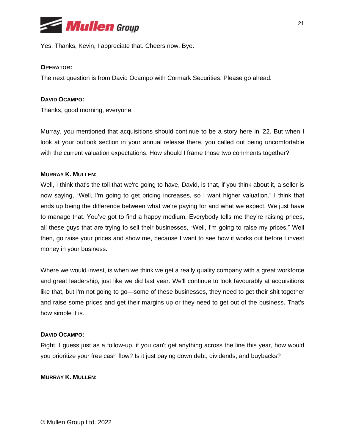

Yes. Thanks, Kevin, I appreciate that. Cheers now. Bye.

## **OPERATOR:**

The next question is from David Ocampo with Cormark Securities. Please go ahead.

## **DAVID OCAMPO:**

Thanks, good morning, everyone.

Murray, you mentioned that acquisitions should continue to be a story here in '22. But when I look at your outlook section in your annual release there, you called out being uncomfortable with the current valuation expectations. How should I frame those two comments together?

## **MURRAY K. MULLEN:**

Well, I think that's the toll that we're going to have, David, is that, if you think about it, a seller is now saying, "Well, I'm going to get pricing increases, so I want higher valuation." I think that ends up being the difference between what we're paying for and what we expect. We just have to manage that. You've got to find a happy medium. Everybody tells me they're raising prices, all these guys that are trying to sell their businesses, "Well, I'm going to raise my prices." Well then, go raise your prices and show me, because I want to see how it works out before I invest money in your business.

Where we would invest, is when we think we get a really quality company with a great workforce and great leadership, just like we did last year. We'll continue to look favourably at acquisitions like that, but I'm not going to go—some of these businesses, they need to get their shit together and raise some prices and get their margins up or they need to get out of the business. That's how simple it is.

## **DAVID OCAMPO:**

Right. I guess just as a follow-up, if you can't get anything across the line this year, how would you prioritize your free cash flow? Is it just paying down debt, dividends, and buybacks?

## **MURRAY K. MULLEN:**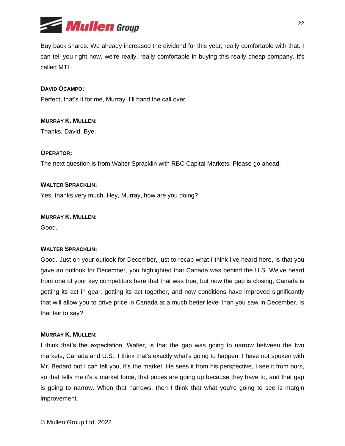

Buy back shares. We already increased the dividend for this year; really comfortable with that. I can tell you right now, we're really, really comfortable in buying this really cheap company. It's called MTL.

# **DAVID OCAMPO:**

Perfect, that's it for me, Murray. I'll hand the call over.

## **MURRAY K. MULLEN:**

Thanks, David. Bye.

# **OPERATOR:**

The next question is from Walter Spracklin with RBC Capital Markets. Please go ahead.

# **WALTER SPRACKLIN:**

Yes, thanks very much. Hey, Murray, how are you doing?

**MURRAY K. MULLEN:** Good.

## **WALTER SPRACKLIN:**

Good. Just on your outlook for December, just to recap what I think I've heard here, is that you gave an outlook for December, you highlighted that Canada was behind the U.S. We've heard from one of your key competitors here that that was true, but now the gap is closing, Canada is getting its act in gear, getting its act together, and now conditions have improved significantly that will allow you to drive price in Canada at a much better level than you saw in December. Is that fair to say?

## **MURRAY K. MULLEN:**

I think that's the expectation, Walter, is that the gap was going to narrow between the two markets, Canada and U.S., I think that's exactly what's going to happen. I have not spoken with Mr. Bedard but I can tell you, it's the market. He sees it from his perspective, I see it from ours, so that tells me it's a market force, that prices are going up because they have to, and that gap is going to narrow. When that narrows, then I think that what you're going to see is margin improvement.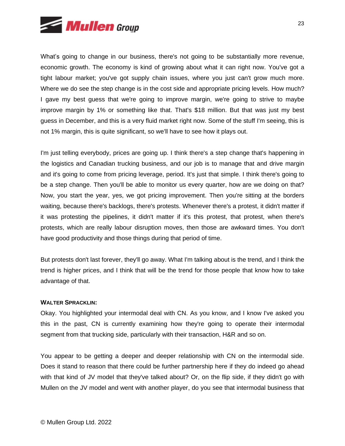

What's going to change in our business, there's not going to be substantially more revenue, economic growth. The economy is kind of growing about what it can right now. You've got a tight labour market; you've got supply chain issues, where you just can't grow much more. Where we do see the step change is in the cost side and appropriate pricing levels. How much? I gave my best guess that we're going to improve margin, we're going to strive to maybe improve margin by 1% or something like that. That's \$18 million. But that was just my best guess in December, and this is a very fluid market right now. Some of the stuff I'm seeing, this is not 1% margin, this is quite significant, so we'll have to see how it plays out.

I'm just telling everybody, prices are going up. I think there's a step change that's happening in the logistics and Canadian trucking business, and our job is to manage that and drive margin and it's going to come from pricing leverage, period. It's just that simple. I think there's going to be a step change. Then you'll be able to monitor us every quarter, how are we doing on that? Now, you start the year, yes, we got pricing improvement. Then you're sitting at the borders waiting, because there's backlogs, there's protests. Whenever there's a protest, it didn't matter if it was protesting the pipelines, it didn't matter if it's this protest, that protest, when there's protests, which are really labour disruption moves, then those are awkward times. You don't have good productivity and those things during that period of time.

But protests don't last forever, they'll go away. What I'm talking about is the trend, and I think the trend is higher prices, and I think that will be the trend for those people that know how to take advantage of that.

## **WALTER SPRACKLIN:**

Okay. You highlighted your intermodal deal with CN. As you know, and I know I've asked you this in the past, CN is currently examining how they're going to operate their intermodal segment from that trucking side, particularly with their transaction, H&R and so on.

You appear to be getting a deeper and deeper relationship with CN on the intermodal side. Does it stand to reason that there could be further partnership here if they do indeed go ahead with that kind of JV model that they've talked about? Or, on the flip side, if they didn't go with Mullen on the JV model and went with another player, do you see that intermodal business that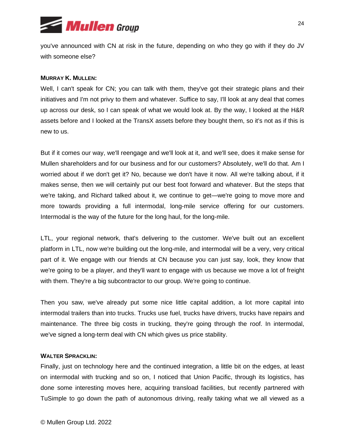

you've announced with CN at risk in the future, depending on who they go with if they do JV with someone else?

#### **MURRAY K. MULLEN:**

Well, I can't speak for CN; you can talk with them, they've got their strategic plans and their initiatives and I'm not privy to them and whatever. Suffice to say, I'll look at any deal that comes up across our desk, so I can speak of what we would look at. By the way, I looked at the H&R assets before and I looked at the TransX assets before they bought them, so it's not as if this is new to us.

But if it comes our way, we'll reengage and we'll look at it, and we'll see, does it make sense for Mullen shareholders and for our business and for our customers? Absolutely, we'll do that. Am I worried about if we don't get it? No, because we don't have it now. All we're talking about, if it makes sense, then we will certainly put our best foot forward and whatever. But the steps that we're taking, and Richard talked about it, we continue to get—we're going to move more and more towards providing a full intermodal, long-mile service offering for our customers. Intermodal is the way of the future for the long haul, for the long-mile.

LTL, your regional network, that's delivering to the customer. We've built out an excellent platform in LTL, now we're building out the long-mile, and intermodal will be a very, very critical part of it. We engage with our friends at CN because you can just say, look, they know that we're going to be a player, and they'll want to engage with us because we move a lot of freight with them. They're a big subcontractor to our group. We're going to continue.

Then you saw, we've already put some nice little capital addition, a lot more capital into intermodal trailers than into trucks. Trucks use fuel, trucks have drivers, trucks have repairs and maintenance. The three big costs in trucking, they're going through the roof. In intermodal, we've signed a long-term deal with CN which gives us price stability.

#### **WALTER SPRACKLIN:**

Finally, just on technology here and the continued integration, a little bit on the edges, at least on intermodal with trucking and so on, I noticed that Union Pacific, through its logistics, has done some interesting moves here, acquiring transload facilities, but recently partnered with TuSimple to go down the path of autonomous driving, really taking what we all viewed as a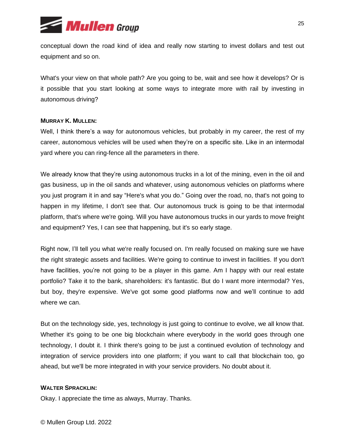

conceptual down the road kind of idea and really now starting to invest dollars and test out equipment and so on.

What's your view on that whole path? Are you going to be, wait and see how it develops? Or is it possible that you start looking at some ways to integrate more with rail by investing in autonomous driving?

## **MURRAY K. MULLEN:**

Well, I think there's a way for autonomous vehicles, but probably in my career, the rest of my career, autonomous vehicles will be used when they're on a specific site. Like in an intermodal yard where you can ring-fence all the parameters in there.

We already know that they're using autonomous trucks in a lot of the mining, even in the oil and gas business, up in the oil sands and whatever, using autonomous vehicles on platforms where you just program it in and say "Here's what you do." Going over the road, no, that's not going to happen in my lifetime, I don't see that. Our autonomous truck is going to be that intermodal platform, that's where we're going. Will you have autonomous trucks in our yards to move freight and equipment? Yes, I can see that happening, but it's so early stage.

Right now, I'll tell you what we're really focused on. I'm really focused on making sure we have the right strategic assets and facilities. We're going to continue to invest in facilities. If you don't have facilities, you're not going to be a player in this game. Am I happy with our real estate portfolio? Take it to the bank, shareholders: it's fantastic. But do I want more intermodal? Yes, but boy, they're expensive. We've got some good platforms now and we'll continue to add where we can.

But on the technology side, yes, technology is just going to continue to evolve, we all know that. Whether it's going to be one big blockchain where everybody in the world goes through one technology, I doubt it. I think there's going to be just a continued evolution of technology and integration of service providers into one platform; if you want to call that blockchain too, go ahead, but we'll be more integrated in with your service providers. No doubt about it.

## **WALTER SPRACKLIN:**

Okay. I appreciate the time as always, Murray. Thanks.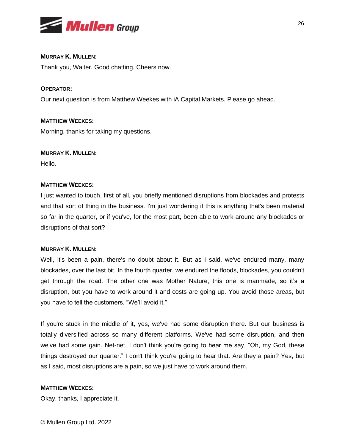

# **MURRAY K. MULLEN:**

Thank you, Walter. Good chatting. Cheers now.

# **OPERATOR:**

Our next question is from Matthew Weekes with iA Capital Markets. Please go ahead.

# **MATTHEW WEEKES:**

Morning, thanks for taking my questions.

# **MURRAY K. MULLEN:**

Hello.

# **MATTHEW WEEKES:**

I just wanted to touch, first of all, you briefly mentioned disruptions from blockades and protests and that sort of thing in the business. I'm just wondering if this is anything that's been material so far in the quarter, or if you've, for the most part, been able to work around any blockades or disruptions of that sort?

## **MURRAY K. MULLEN:**

Well, it's been a pain, there's no doubt about it. But as I said, we've endured many, many blockades, over the last bit. In the fourth quarter, we endured the floods, blockades, you couldn't get through the road. The other one was Mother Nature, this one is manmade, so it's a disruption, but you have to work around it and costs are going up. You avoid those areas, but you have to tell the customers, "We'll avoid it."

If you're stuck in the middle of it, yes, we've had some disruption there. But our business is totally diversified across so many different platforms. We've had some disruption, and then we've had some gain. Net-net, I don't think you're going to hear me say, "Oh, my God, these things destroyed our quarter." I don't think you're going to hear that. Are they a pain? Yes, but as I said, most disruptions are a pain, so we just have to work around them.

## **MATTHEW WEEKES:**

Okay, thanks, I appreciate it.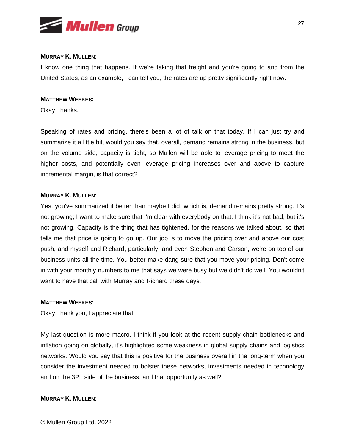

## **MURRAY K. MULLEN:**

I know one thing that happens. If we're taking that freight and you're going to and from the United States, as an example, I can tell you, the rates are up pretty significantly right now.

# **MATTHEW WEEKES:**

Okay, thanks.

Speaking of rates and pricing, there's been a lot of talk on that today. If I can just try and summarize it a little bit, would you say that, overall, demand remains strong in the business, but on the volume side, capacity is tight, so Mullen will be able to leverage pricing to meet the higher costs, and potentially even leverage pricing increases over and above to capture incremental margin, is that correct?

# **MURRAY K. MULLEN:**

Yes, you've summarized it better than maybe I did, which is, demand remains pretty strong. It's not growing; I want to make sure that I'm clear with everybody on that. I think it's not bad, but it's not growing. Capacity is the thing that has tightened, for the reasons we talked about, so that tells me that price is going to go up. Our job is to move the pricing over and above our cost push, and myself and Richard, particularly, and even Stephen and Carson, we're on top of our business units all the time. You better make dang sure that you move your pricing. Don't come in with your monthly numbers to me that says we were busy but we didn't do well. You wouldn't want to have that call with Murray and Richard these days.

## **MATTHEW WEEKES:**

Okay, thank you, I appreciate that.

My last question is more macro. I think if you look at the recent supply chain bottlenecks and inflation going on globally, it's highlighted some weakness in global supply chains and logistics networks. Would you say that this is positive for the business overall in the long-term when you consider the investment needed to bolster these networks, investments needed in technology and on the 3PL side of the business, and that opportunity as well?

## **MURRAY K. MULLEN:**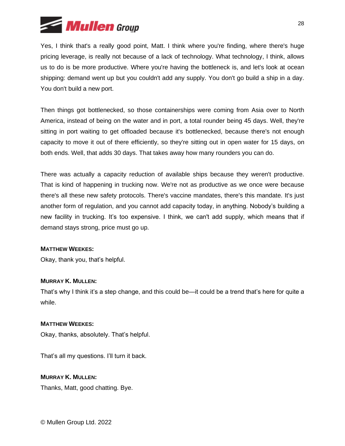

Yes, I think that's a really good point, Matt. I think where you're finding, where there's huge pricing leverage, is really not because of a lack of technology. What technology, I think, allows us to do is be more productive. Where you're having the bottleneck is, and let's look at ocean shipping: demand went up but you couldn't add any supply. You don't go build a ship in a day. You don't build a new port.

Then things got bottlenecked, so those containerships were coming from Asia over to North America, instead of being on the water and in port, a total rounder being 45 days. Well, they're sitting in port waiting to get offloaded because it's bottlenecked, because there's not enough capacity to move it out of there efficiently, so they're sitting out in open water for 15 days, on both ends. Well, that adds 30 days. That takes away how many rounders you can do.

There was actually a capacity reduction of available ships because they weren't productive. That is kind of happening in trucking now. We're not as productive as we once were because there's all these new safety protocols. There's vaccine mandates, there's this mandate. It's just another form of regulation, and you cannot add capacity today, in anything. Nobody's building a new facility in trucking. It's too expensive. I think, we can't add supply, which means that if demand stays strong, price must go up.

## **MATTHEW WEEKES:**

Okay, thank you, that's helpful.

## **MURRAY K. MULLEN:**

That's why I think it's a step change, and this could be—it could be a trend that's here for quite a while.

## **MATTHEW WEEKES:**

Okay, thanks, absolutely. That's helpful.

That's all my questions. I'll turn it back.

**MURRAY K. MULLEN:**

Thanks, Matt, good chatting. Bye.

© Mullen Group Ltd. 2022